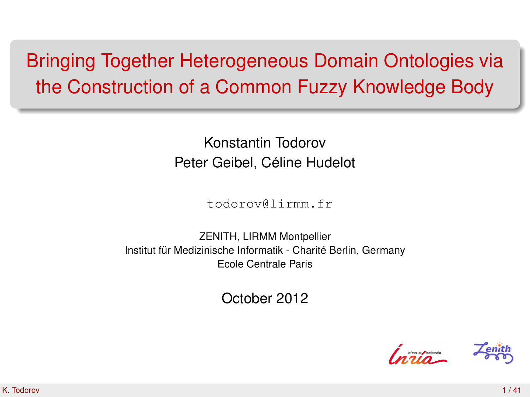# Bringing Together Heterogeneous Domain Ontologies via the Construction of a Common Fuzzy Knowledge Body

Konstantin Todorov Peter Geibel, Céline Hudelot

todorov@lirmm.fr

ZENITH, LIRMM Montpellier Institut für Medizinische Informatik - Charité Berlin, Germany Ecole Centrale Paris

October 2012

<span id="page-0-0"></span>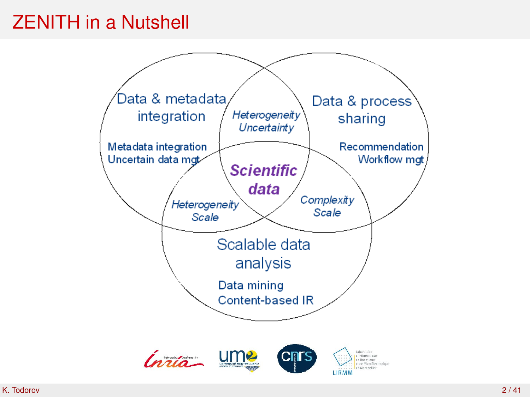### ZENITH in a Nutshell

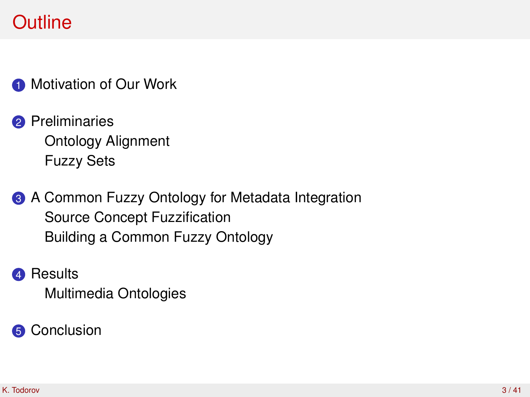**1** [Motivation of Our Work](#page-3-0)

- **2** [Preliminaries](#page-7-0) [Ontology Alignment](#page-8-0) [Fuzzy Sets](#page-11-0)
- **3** [A Common Fuzzy Ontology for Metadata Integration](#page-13-0) [Source Concept Fuzzification](#page-16-0) [Building a Common Fuzzy Ontology](#page-20-0)

**4** [Results](#page-25-0) [Multimedia Ontologies](#page-27-0)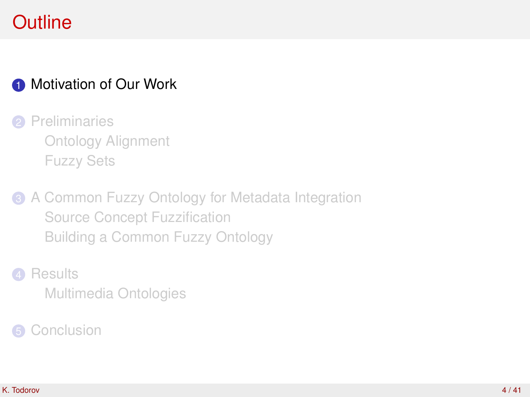### **1** [Motivation of Our Work](#page-3-0)

- **2** [Preliminaries](#page-7-0) [Ontology Alignment](#page-8-0) [Fuzzy Sets](#page-11-0)
- **3** [A Common Fuzzy Ontology for Metadata Integration](#page-13-0) [Source Concept Fuzzification](#page-16-0) [Building a Common Fuzzy Ontology](#page-20-0)

# **4** [Results](#page-25-0)

<span id="page-3-0"></span>[Multimedia Ontologies](#page-27-0)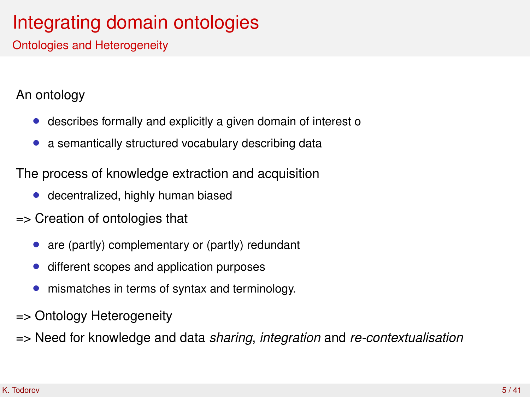# Integrating domain ontologies

Ontologies and Heterogeneity

#### An ontology

- describes formally and explicitly a given domain of interest o
- a semantically structured vocabulary describing data

The process of knowledge extraction and acquisition

- decentralized, highly human biased
- => Creation of ontologies that
	- are (partly) complementary or (partly) redundant
	- different scopes and application purposes
	- mismatches in terms of syntax and terminology.
- => Ontology Heterogeneity
- => Need for knowledge and data *sharing*, *integration* and *re-contextualisation*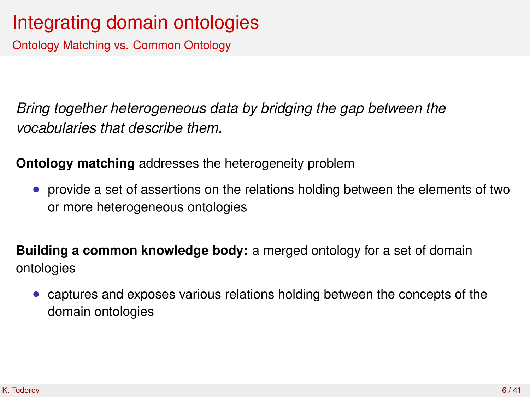### Integrating domain ontologies

Ontology Matching vs. Common Ontology

*Bring together heterogeneous data by bridging the gap between the vocabularies that describe them.*

**Ontology matching** addresses the heterogeneity problem

• provide a set of assertions on the relations holding between the elements of two or more heterogeneous ontologies

**Building a common knowledge body:** a merged ontology for a set of domain ontologies

• captures and exposes various relations holding between the concepts of the domain ontologies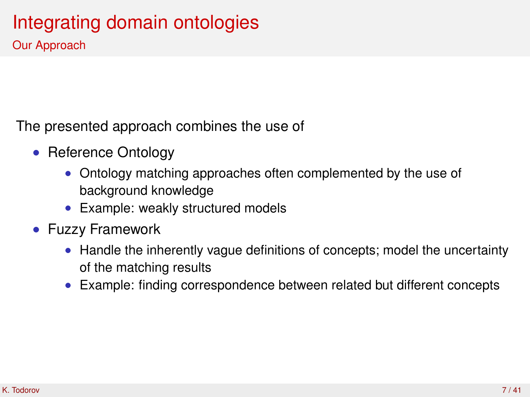# Integrating domain ontologies

Our Approach

The presented approach combines the use of

- Reference Ontology
	- Ontology matching approaches often complemented by the use of background knowledge
	- Example: weakly structured models
- Fuzzy Framework
	- Handle the inherently vague definitions of concepts; model the uncertainty of the matching results
	- Example: finding correspondence between related but different concepts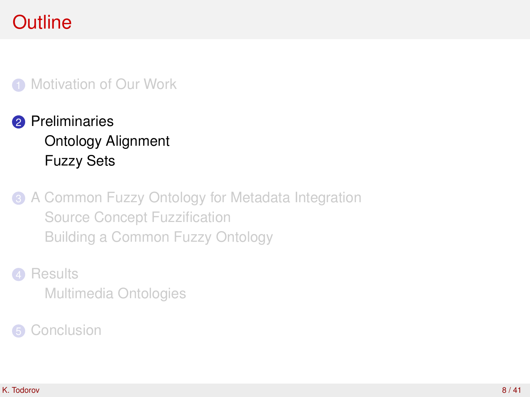#### **1** [Motivation of Our Work](#page-3-0)

### **2** [Preliminaries](#page-7-0) [Ontology Alignment](#page-8-0) [Fuzzy Sets](#page-11-0)

**3** [A Common Fuzzy Ontology for Metadata Integration](#page-13-0) [Source Concept Fuzzification](#page-16-0) [Building a Common Fuzzy Ontology](#page-20-0)

#### **4** [Results](#page-25-0)

<span id="page-7-0"></span>[Multimedia Ontologies](#page-27-0)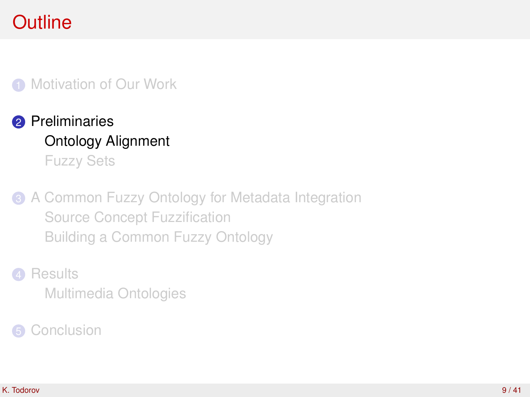#### **1** [Motivation of Our Work](#page-3-0)

### **2** [Preliminaries](#page-7-0) [Ontology Alignment](#page-8-0) [Fuzzy Sets](#page-11-0)

**3** [A Common Fuzzy Ontology for Metadata Integration](#page-13-0) [Source Concept Fuzzification](#page-16-0) [Building a Common Fuzzy Ontology](#page-20-0)

#### **4** [Results](#page-25-0)

<span id="page-8-0"></span>[Multimedia Ontologies](#page-27-0)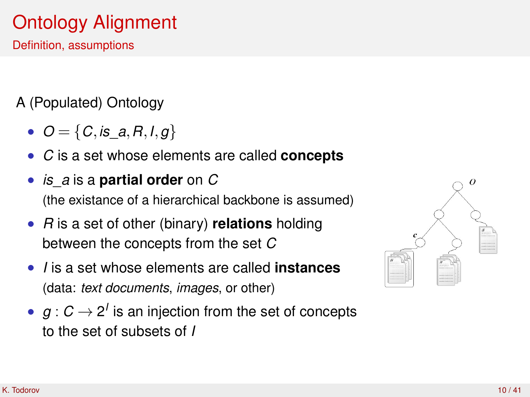# Ontology Alignment

Definition, assumptions

A (Populated) Ontology

- $O = \{C, is\_a, R, I, g\}$
- *C* is a set whose elements are called **concepts**
- *is*\_*a* is a **partial order** on *C* (the existance of a hierarchical backbone is assumed)
- *R* is a set of other (binary) **relations** holding between the concepts from the set *C*
- *I* is a set whose elements are called **instances** (data: *text documents*, *images*, or other)
- $g: C \rightarrow 2^l$  is an injection from the set of concepts to the set of subsets of *I*

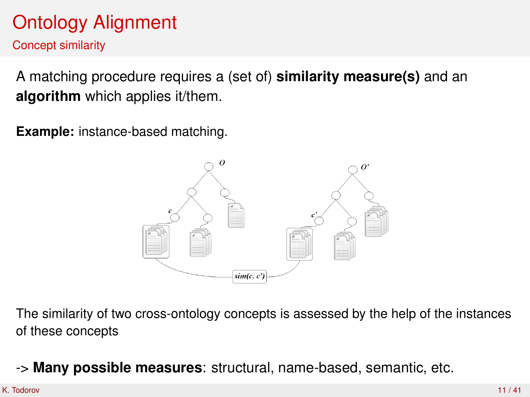# Ontology Alignment

Concept similarity

A matching procedure requires a (set of) **similarity measure(s)** and an **algorithm** which applies it/them.

**Example:** instance-based matching.



The similarity of two cross-ontology concepts is assessed by the help of the instances of these concepts

-> **Many possible measures**: structural, name-based, semantic, etc.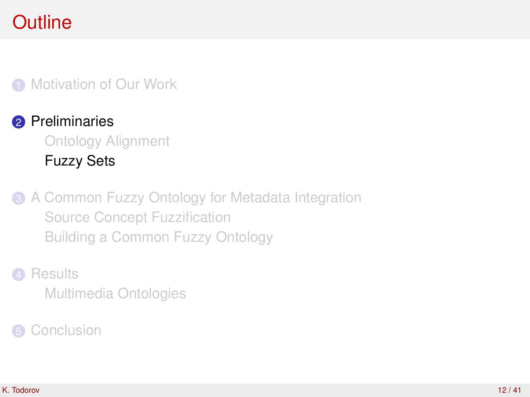#### **1** [Motivation of Our Work](#page-3-0)

### **2** [Preliminaries](#page-7-0) [Ontology Alignment](#page-8-0) [Fuzzy Sets](#page-11-0)

**3** [A Common Fuzzy Ontology for Metadata Integration](#page-13-0) [Source Concept Fuzzification](#page-16-0) [Building a Common Fuzzy Ontology](#page-20-0)

#### **4** [Results](#page-25-0)

<span id="page-11-0"></span>[Multimedia Ontologies](#page-27-0)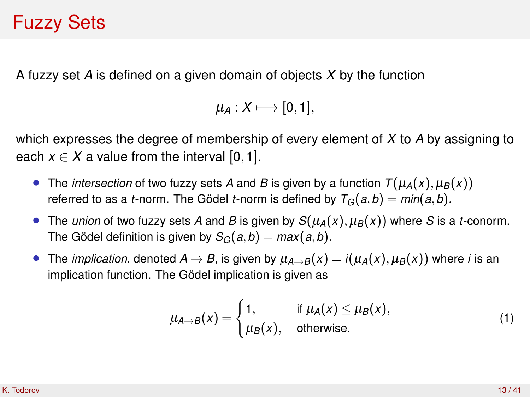### Fuzzy Sets

A fuzzy set *A* is defined on a given domain of objects *X* by the function

```
\mu_A: X \longmapsto [0,1],
```
which expresses the degree of membership of every element of *X* to *A* by assigning to each  $x \in X$  a value from the interval [0, 1].

- The *intersection* of two fuzzy sets *A* and *B* is given by a function  $T(\mu_A(x), \mu_B(x))$ referred to as a *t*-norm. The Gödel *t*-norm is defined by  $T_G(a, b) = min(a, b)$ .
- The *union* of two fuzzy sets *A* and *B* is given by  $S(\mu_A(x), \mu_B(x))$  where *S* is a *t*-conorm. The Gödel definition is given by  $S_G(a, b) = max(a, b)$ .
- The *implication*, denoted  $A \rightarrow B$ , is given by  $\mu_{A \rightarrow B}(x) = i(\mu_A(x), \mu_B(x))$  where *i* is an implication function. The Gödel implication is given as

$$
\mu_{A \to B}(x) = \begin{cases} 1, & \text{if } \mu_A(x) \leq \mu_B(x), \\ \mu_B(x), & \text{otherwise.} \end{cases}
$$
 (1)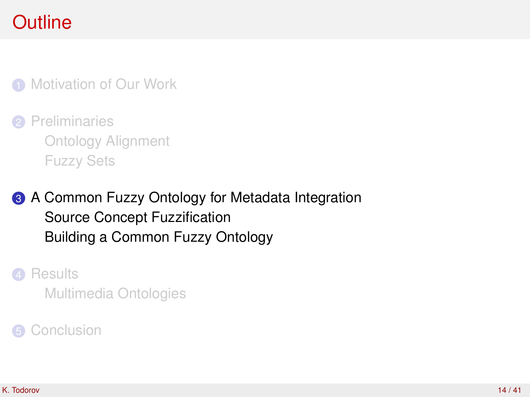**1** [Motivation of Our Work](#page-3-0)

**2** [Preliminaries](#page-7-0) [Ontology Alignment](#page-8-0) [Fuzzy Sets](#page-11-0)

**3** [A Common Fuzzy Ontology for Metadata Integration](#page-13-0) [Source Concept Fuzzification](#page-16-0) [Building a Common Fuzzy Ontology](#page-20-0)

**4** [Results](#page-25-0)

<span id="page-13-0"></span>[Multimedia Ontologies](#page-27-0)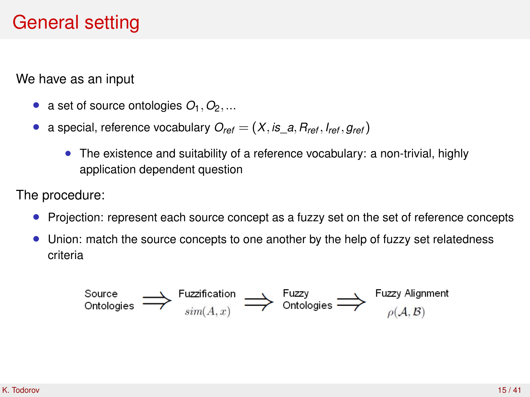### General setting

We have as an input

- a set of source ontologies  $O_1$ ,  $O_2$ ,...
- a special, reference vocabulary  $O_{ref} = (X, is a, R_{ref}, I_{ref}, g_{ref})$ 
	- The existence and suitability of a reference vocabulary: a non-trivial, highly application dependent question

The procedure:

- Projection: represent each source concept as a fuzzy set on the set of reference concepts
- Union: match the source concepts to one another by the help of fuzzy set relatedness criteria

$$
\text{Source} \longrightarrow \text{Fuzzification} \longrightarrow \text{Fuzzy} \longrightarrow \text{Outologies} \longrightarrow \text{Fuzzy Algorithm} \longrightarrow \text{Fuzzy Algorithm} \longrightarrow \text{Fuzzy Algorithm} \longrightarrow \text{Fuzzy Number}
$$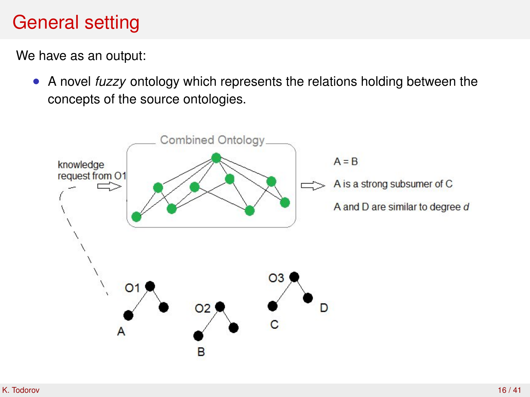### General setting

We have as an output:

• A novel *fuzzy* ontology which represents the relations holding between the concepts of the source ontologies.

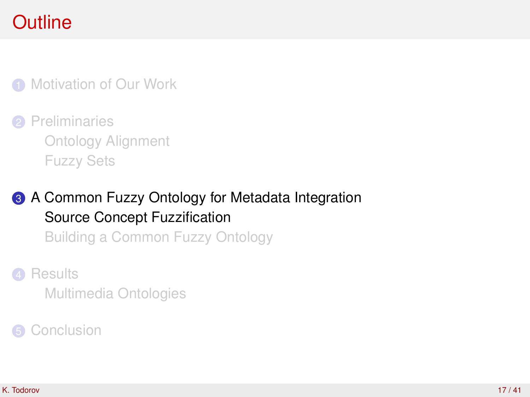**1** [Motivation of Our Work](#page-3-0)

**2** [Preliminaries](#page-7-0) [Ontology Alignment](#page-8-0) [Fuzzy Sets](#page-11-0)

**3** [A Common Fuzzy Ontology for Metadata Integration](#page-13-0) [Source Concept Fuzzification](#page-16-0)

[Building a Common Fuzzy Ontology](#page-20-0)

**4** [Results](#page-25-0)

<span id="page-16-0"></span>[Multimedia Ontologies](#page-27-0)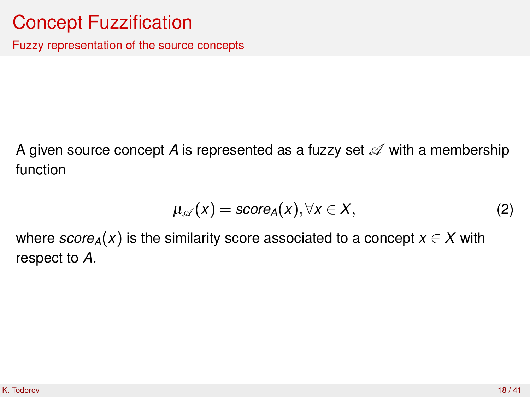### Concept Fuzzification

Fuzzy representation of the source concepts

A given source concept A is represented as a fuzzy set  $\mathscr A$  with a membership function

$$
\mu_{\mathscr{A}}(x) = \mathsf{score}_{A}(x), \forall x \in X,\tag{2}
$$

where  $score_A(x)$  is the similarity score associated to a concept  $x \in X$  with respect to *A*.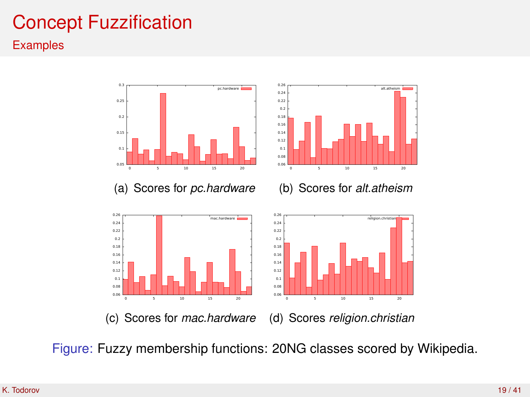# Concept Fuzzification

#### **Examples**



Figure: Fuzzy membership functions: 20NG classes scored by Wikipedia.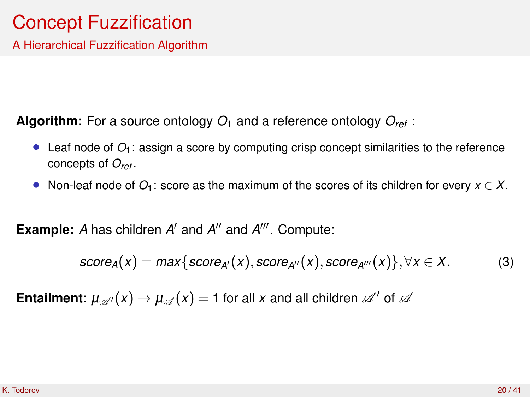### Concept Fuzzification

A Hierarchical Fuzzification Algorithm

**Algorithm:** For a source ontology  $O_1$  and a reference ontology  $O_{ref}$ :

- Leaf node of  $O_1$ : assign a score by computing crisp concept similarities to the reference concepts of *Oref* .
- Non-leaf node of  $O_1$ : score as the maximum of the scores of its children for every  $x \in X$ .

**Example:** A has children A' and A'' and A'''. Compute:

$$
score_A(x) = max\{score_{A'}(x), score_{A''}(x), score_{A'''}(x)\}, \forall x \in X.
$$
 (3)

**Entailment**:  $\mu_{\mathscr{A}}(x) \to \mu_{\mathscr{A}}(x) = 1$  for all *x* and all children  $\mathscr{A}'$  of  $\mathscr{A}$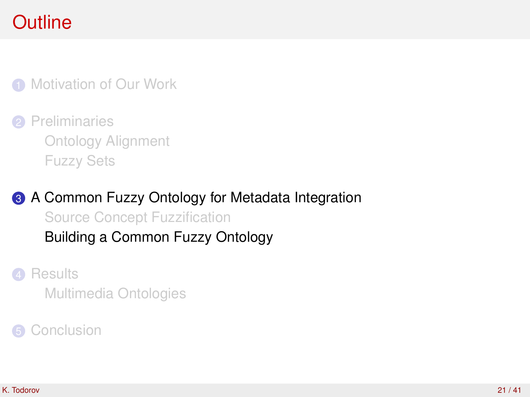**1** [Motivation of Our Work](#page-3-0)

**2** [Preliminaries](#page-7-0) [Ontology Alignment](#page-8-0) [Fuzzy Sets](#page-11-0)

**3** [A Common Fuzzy Ontology for Metadata Integration](#page-13-0) [Source Concept Fuzzification](#page-16-0) [Building a Common Fuzzy Ontology](#page-20-0)

**4** [Results](#page-25-0)

<span id="page-20-0"></span>[Multimedia Ontologies](#page-27-0)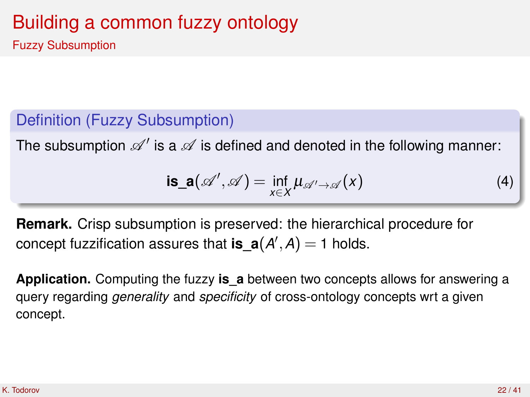Fuzzy Subsumption

### Definition (Fuzzy Subsumption)

The subsumption  $\mathscr{A}'$  is a  $\mathscr A$  is defined and denoted in the following manner:

$$
is_a(\mathscr{A}',\mathscr{A}) = \inf_{x \in X} \mu_{\mathscr{A}' \to \mathscr{A}}(x)
$$
 (4)

**Remark.** Crisp subsumption is preserved: the hierarchical procedure for concept fuzzification assures that  $is\_a(A',A) = 1$  holds.

**Application.** Computing the fuzzy **is\_a** between two concepts allows for answering a query regarding *generality* and *specificity* of cross-ontology concepts wrt a given concept.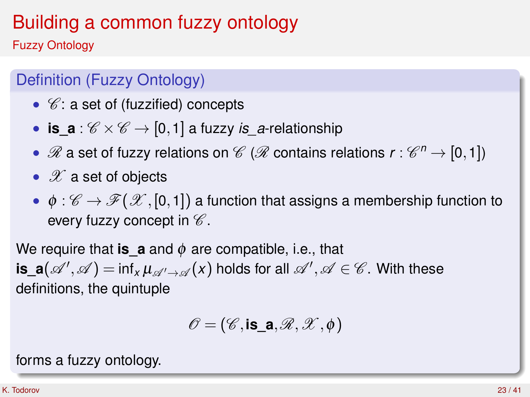Fuzzy Ontology

### Definition (Fuzzy Ontology)

- $\mathscr{C}$ : a set of (fuzzified) concepts
- **is\_a** :  $\mathscr{C} \times \mathscr{C} \rightarrow [0,1]$  a fuzzy *is\_a*-relationship
- ${\mathscr R}$  a set of fuzzy relations on  ${\mathscr C}$  ( ${\mathscr R}$  contains relations  $r:{\mathscr C}^n\to[0,1])$
- $\mathscr X$  a set of objects
- $\phi : \mathscr{C} \to \mathscr{F}(\mathscr{X}, [0,1])$  a function that assigns a membership function to every fuzzy concept in  $\mathscr C$ .

We require that **is a** and  $\phi$  are compatible, i.e., that  $\textsf{is\_a}(\mathscr{A}',\mathscr{A}) = \textsf{inf}_\mathsf{x} \, \mu_{\mathscr{A}' \to \mathscr{A}}(\mathsf{x})$  holds for all  $\mathscr{A}',\mathscr{A} \in \mathscr{C}.$  With these definitions, the quintuple

$$
\mathscr{O}=(\mathscr{C},\text{is\_a},\mathscr{R},\mathscr{X},\phi)
$$

forms a fuzzy ontology.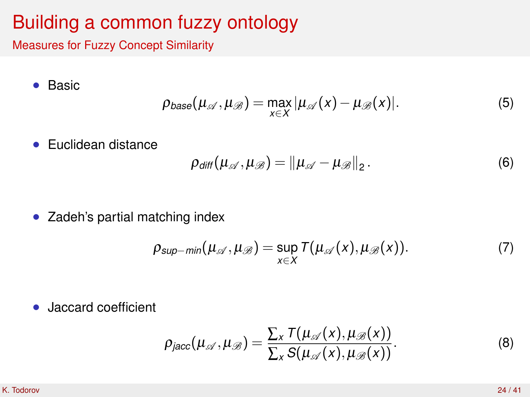Measures for Fuzzy Concept Similarity

• Basic

$$
\rho_{base}(\mu_{\mathscr{A}}, \mu_{\mathscr{B}}) = \max_{x \in X} |\mu_{\mathscr{A}}(x) - \mu_{\mathscr{B}}(x)|. \tag{5}
$$

• Euclidean distance

$$
\rho_{\text{diff}}(\mu_{\mathscr{A}}, \mu_{\mathscr{B}}) = ||\mu_{\mathscr{A}} - \mu_{\mathscr{B}}||_2. \qquad (6)
$$

• Zadeh's partial matching index

$$
\rho_{\text{sup-min}}(\mu_{\mathscr{A}}, \mu_{\mathscr{B}}) = \sup_{x \in X} \mathcal{T}(\mu_{\mathscr{A}}(x), \mu_{\mathscr{B}}(x)). \tag{7}
$$

• Jaccard coefficient

$$
\rho_{jacc}(\mu_{\mathscr{A}}, \mu_{\mathscr{B}}) = \frac{\sum_{x} \mathcal{T}(\mu_{\mathscr{A}}(x), \mu_{\mathscr{B}}(x))}{\sum_{x} \mathcal{S}(\mu_{\mathscr{A}}(x), \mu_{\mathscr{B}}(x))}.
$$
\n(8)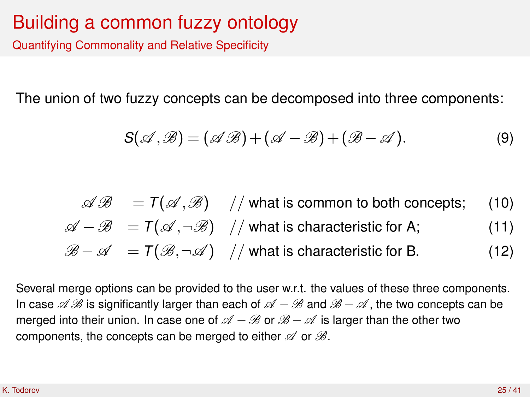Quantifying Commonality and Relative Specificity

The union of two fuzzy concepts can be decomposed into three components:

$$
S(\mathscr{A},\mathscr{B})=(\mathscr{A}\mathscr{B})+(\mathscr{A}-\mathscr{B})+(\mathscr{B}-\mathscr{A}).
$$
\n(9)

 $\mathscr{A}\mathscr{B} = T(\mathscr{A}, \mathscr{B})$  // what is common to both concepts; (10)  $\mathscr{A} - \mathscr{B} = T(\mathscr{A}, \neg \mathscr{B})$  // what is characteristic for A; (11)  $\mathscr{B} - \mathscr{A} = \mathcal{T}(\mathscr{B}, \neg \mathscr{A})$  // what is characteristic for B. (12)

Several merge options can be provided to the user w.r.t. the values of these three components. In case  $\mathscr A\mathscr B$  is significantly larger than each of  $\mathscr A-\mathscr B$  and  $\mathscr B-\mathscr A$ , the two concepts can be merged into their union. In case one of  $\mathscr{A} - \mathscr{B}$  or  $\mathscr{B} - \mathscr{A}$  is larger than the other two components, the concepts can be merged to either  $\mathscr A$  or  $\mathscr B$ .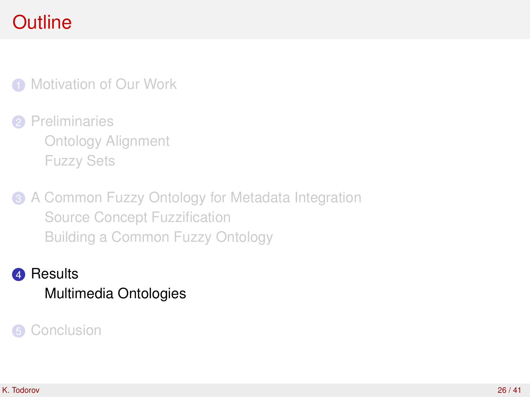**1** [Motivation of Our Work](#page-3-0)

2 [Preliminaries](#page-7-0) [Ontology Alignment](#page-8-0) [Fuzzy Sets](#page-11-0)

**3** [A Common Fuzzy Ontology for Metadata Integration](#page-13-0) [Source Concept Fuzzification](#page-16-0) [Building a Common Fuzzy Ontology](#page-20-0)

<span id="page-25-0"></span>**4** [Results](#page-25-0) [Multimedia Ontologies](#page-27-0)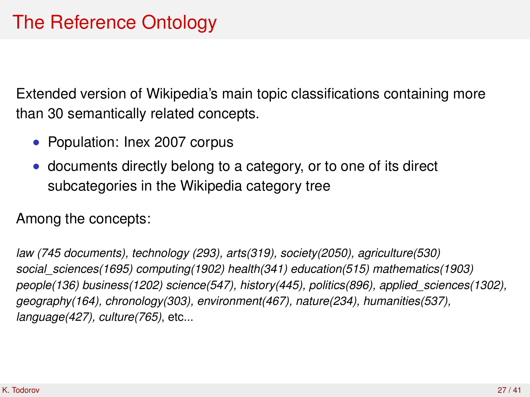Extended version of Wikipedia's main topic classifications containing more than 30 semantically related concepts.

- Population: Inex 2007 corpus
- documents directly belong to a category, or to one of its direct subcategories in the Wikipedia category tree

Among the concepts:

*law (745 documents), technology (293), arts(319), society(2050), agriculture(530) social\_sciences(1695) computing(1902) health(341) education(515) mathematics(1903) people(136) business(1202) science(547), history(445), politics(896), applied\_sciences(1302), geography(164), chronology(303), environment(467), nature(234), humanities(537), language(427), culture(765)*, etc...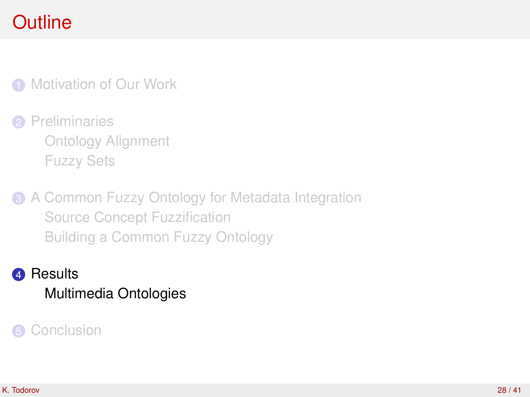**1** [Motivation of Our Work](#page-3-0)

2 [Preliminaries](#page-7-0) [Ontology Alignment](#page-8-0) [Fuzzy Sets](#page-11-0)

**3** [A Common Fuzzy Ontology for Metadata Integration](#page-13-0) [Source Concept Fuzzification](#page-16-0) [Building a Common Fuzzy Ontology](#page-20-0)

<span id="page-27-0"></span>**4** [Results](#page-25-0) [Multimedia Ontologies](#page-27-0)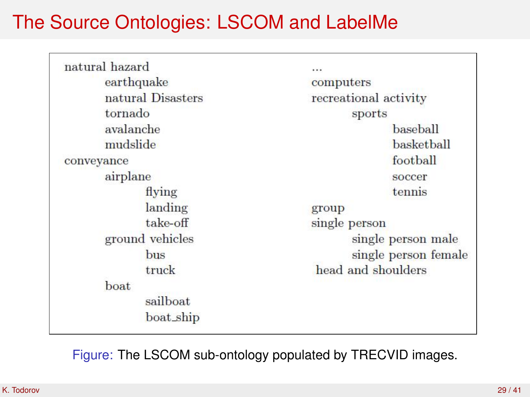### The Source Ontologies: LSCOM and LabelMe

| natural hazard    |                       |  |  |
|-------------------|-----------------------|--|--|
| earthquake        | computers             |  |  |
| natural Disasters | recreational activity |  |  |
| tornado           | sports                |  |  |
| avalanche         | baseball              |  |  |
| mudslide          | <b>basketball</b>     |  |  |
| conveyance        | football              |  |  |
| airplane          | soccer                |  |  |
| flying            | tennis                |  |  |
| landing           | group                 |  |  |
| take-off          | single person         |  |  |
| ground vehicles   | single person male    |  |  |
| bus               | single person female  |  |  |
| truck             | head and shoulders    |  |  |
| boat              |                       |  |  |
| sailboat          |                       |  |  |
| boat_ship         |                       |  |  |

Figure: The LSCOM sub-ontology populated by TRECVID images.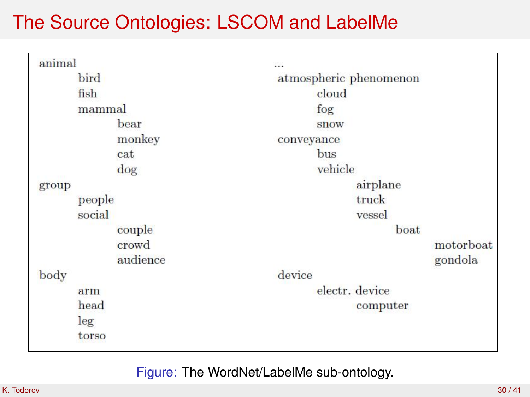### The Source Ontologies: LSCOM and LabelMe

| animal |          |                                                |  |  |
|--------|----------|------------------------------------------------|--|--|
|        | bird     | atmospheric phenomenon<br>cloud<br>fog<br>snow |  |  |
|        | fish     |                                                |  |  |
|        | mammal   |                                                |  |  |
|        | bear     |                                                |  |  |
|        | monkey   | conveyance                                     |  |  |
|        | cat      | bus                                            |  |  |
|        | dog      | vehicle                                        |  |  |
| group  |          | airplane                                       |  |  |
|        | people   | truck                                          |  |  |
|        | social   | vessel                                         |  |  |
|        | couple   | boat                                           |  |  |
|        | crowd    | motorboat                                      |  |  |
|        | audience | gondola                                        |  |  |
| body   |          | device                                         |  |  |
|        | arm      | electr. device                                 |  |  |
|        | head     | computer                                       |  |  |
|        | leg      |                                                |  |  |
|        | torso    |                                                |  |  |
|        |          |                                                |  |  |

Figure: The WordNet/LabelMe sub-ontology.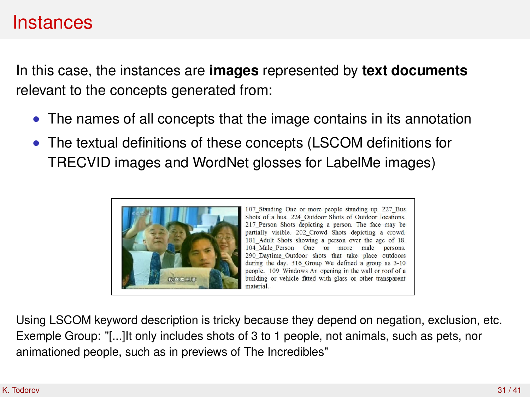### Instances

In this case, the instances are **images** represented by **text documents** relevant to the concepts generated from:

- The names of all concepts that the image contains in its annotation
- The textual definitions of these concepts (LSCOM definitions for TRECVID images and WordNet glosses for LabelMe images)



107 Standing One or more people standing up. 227 Bus Shots of a bus. 224 Outdoor Shots of Outdoor locations. 217 Person Shots depicting a person. The face may be partially visible. 202 Crowd Shots depicting a crowd. 181 Adult Shots showing a person over the age of 18. 104 Male Person One or more male persons. 290 Daytime Outdoor shots that take place outdoors during the day, 316 Group We defined a group as 3-10 people. 109 Windows An opening in the wall or roof of a building or vehicle fitted with glass or other transparent material

Using LSCOM keyword description is tricky because they depend on negation, exclusion, etc. Exemple Group: "[...]It only includes shots of 3 to 1 people, not animals, such as pets, nor animationed people, such as in previews of The Incredibles"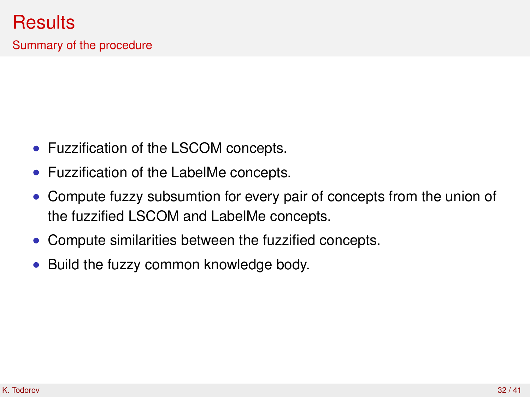Summary of the procedure

- Fuzzification of the LSCOM concepts.
- Fuzzification of the LabelMe concepts.
- Compute fuzzy subsumtion for every pair of concepts from the union of the fuzzified LSCOM and LabelMe concepts.
- Compute similarities between the fuzzified concepts.
- Build the fuzzy common knowledge body.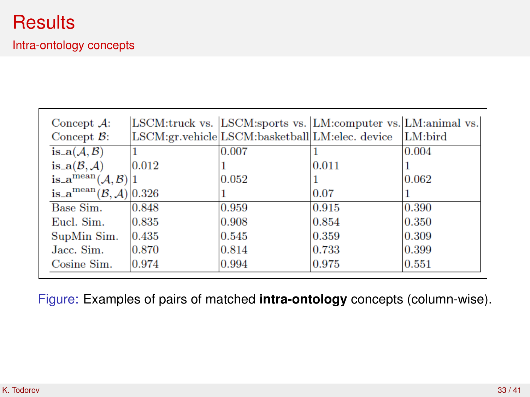| Concept $\mathcal{A}$ :                                 |       | LSCM:truck vs. LSCM:sports vs. LM:computer vs. LM:animal vs. |       |         |
|---------------------------------------------------------|-------|--------------------------------------------------------------|-------|---------|
| Concept $\mathcal{B}$ :                                 |       | LSCM:gr.vehicle LSCM:basketball LM:elec. device              |       | LM:bird |
| $is_{-}a(\mathcal{A},\mathcal{B})$                      |       | 0.007                                                        |       | 0.004   |
| is_a $(B, A)$                                           | 0.012 |                                                              | 0.011 |         |
| is_a <sup>mean</sup> $(A, B)$  1                        |       | 0.052                                                        |       | 0.062   |
| is_a <sup>mean</sup> $(\mathcal{B}, \mathcal{A})$ 0.326 |       |                                                              | 0.07  |         |
| Base Sim.                                               | 0.848 | 0.959                                                        | 0.915 | 0.390   |
| Eucl. Sim.                                              | 0.835 | 0.908                                                        | 0.854 | 0.350   |
| SupMin Sim.                                             | 0.435 | 0.545                                                        | 0.359 | 0.309   |
| Jacc. Sim.                                              | 0.870 | 0.814                                                        | 0.733 | 0.399   |
| Cosine Sim.                                             | 0.974 | 0.994                                                        | 0.975 | 0.551   |

Figure: Examples of pairs of matched **intra-ontology** concepts (column-wise).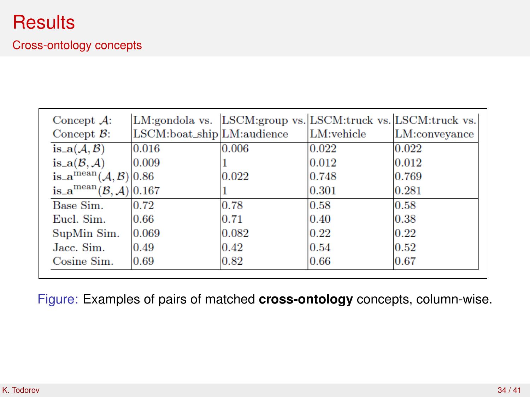### **Results**

#### Cross-ontology concepts

|                                                               |                            |                |            | LM:gondola vs. LSCM:group vs. LSCM:truck vs. LSCM:truck vs. |
|---------------------------------------------------------------|----------------------------|----------------|------------|-------------------------------------------------------------|
| Concept $\mathcal{B}$ :                                       | LSCM:boat_ship LM:audience |                | LM:vehicle | LM:conveyance                                               |
| is_a $(A, B)$                                                 | 0.016                      | 0.006          | 0.022      | 0.022                                                       |
| is_a $(B, A)$                                                 | 0.009                      |                | 0.012      | 0.012                                                       |
| is_a <sup>mean</sup> $(A, B)$  0.86                           |                            | 0.022          | 0.748      | 0.769                                                       |
| is $\mathbf{a}^{\text{mean}}(\mathcal{B}, \mathcal{A}) 0.167$ |                            |                | 0.301      | 0.281                                                       |
| Base Sim.                                                     | 0.72                       | 0.78           | 0.58       | 0.58                                                        |
| Eucl. Sim.                                                    | 0.66                       | 0.71           | 0.40       | 0.38                                                        |
| SupMin Sim.                                                   | 0.069                      | 0.082          | 0.22       | 0.22                                                        |
| Jacc. Sim.                                                    | 0.49                       | $ 0.42\rangle$ | 0.54       | 0.52                                                        |
| Cosine Sim.                                                   | 0.69                       | 0.82           | 0.66       | 0.67                                                        |

Figure: Examples of pairs of matched **cross-ontology** concepts, column-wise.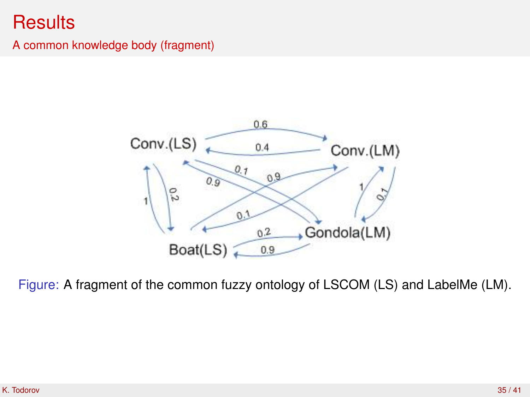### **Results**

#### A common knowledge body (fragment)



Figure: A fragment of the common fuzzy ontology of LSCOM (LS) and LabelMe (LM).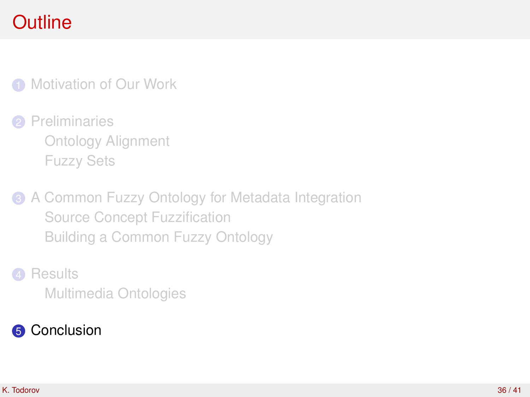**1** [Motivation of Our Work](#page-3-0)

**2** [Preliminaries](#page-7-0) [Ontology Alignment](#page-8-0) [Fuzzy Sets](#page-11-0)

**3** [A Common Fuzzy Ontology for Metadata Integration](#page-13-0) [Source Concept Fuzzification](#page-16-0) [Building a Common Fuzzy Ontology](#page-20-0)

<span id="page-35-0"></span>**4** [Results](#page-25-0) [Multimedia Ontologies](#page-27-0)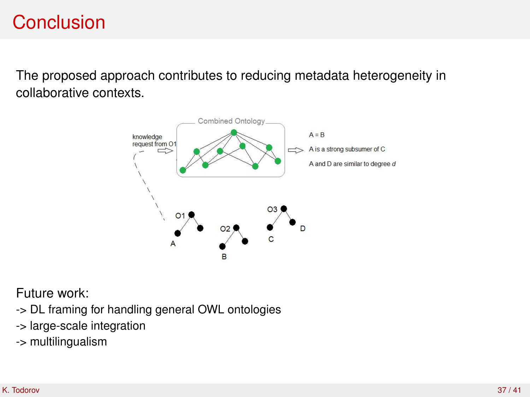### **Conclusion**

The proposed approach contributes to reducing metadata heterogeneity in collaborative contexts.



Future work:

- -> DL framing for handling general OWL ontologies
- -> large-scale integration
- -> multilingualism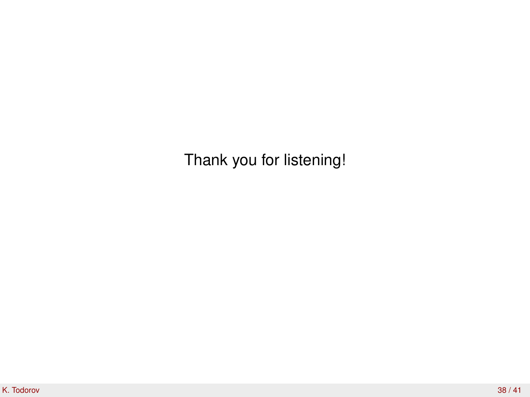Thank you for listening!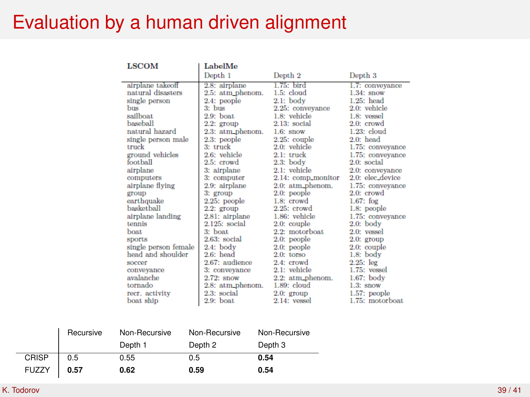### Evaluation by a human driven alignment

| <b>LSCOM</b>         | LabelMe          |                    |                     |
|----------------------|------------------|--------------------|---------------------|
|                      | Depth 1          | Depth <sub>2</sub> | Depth <sub>3</sub>  |
| airplane takeoff     | 2.8: airplane    | $1.75$ : bird      | 1.7: convevance     |
| natural disasters    | 2.5: atm phenom. | 1.5: cloud         | $1.34:$ snow        |
| single person        | 2.4: people      | $2.1:$ body        | $1.25:$ head        |
| <b>bus</b>           | $3: h$ hus       | 2.25: conveyance   | 2.0: vehicle        |
| sailboat             | $2.9:$ boat      | 1.8: vehicle       | 1.8: <i>v</i> essel |
| haseball             | $2.2:$ group     | $2.13$ : social    | $2.0:$ crowd        |
| natural hazard       | 2.3: atm_phenom. | $1.6$ : snow       | $1.23$ : cloud      |
| single person male   | 2.3: people      | $2.25$ : couple    | $2.0:$ head         |
| truck                | 3: truck         | $2.0:$ vehicle     | 1.75: conveyance    |
| ground vehicles      | 2.6: vehicle     | $2.1:$ truck       | 1.75: convevance    |
| foothall             | $2.5:$ crowd     | $2.3$ : body       | $2.0:$ social       |
| airplane             | 3: airplane      | 2.1: vehicle       | 2.0: convevance     |
| computers            | 3: computer      | 2.14: comp_monitor | 2.0: elec_device    |
| airplane flying      | 2.9: airplane    | $2.0:$ atm phenom. | 1.75: conveyance    |
| group                | $3:$ group       | 2.0: people        | 2.0: crowd          |
| earthquake           | 2.25: people     | $1.8:$ crowd       | $1.67:$ for         |
| haskethall           | $2.2:$ group     | $2.25:$ crowd      | 1.8: people         |
| airplane landing     | 2.81: airplane   | $1.86$ : vehicle   | 1.75: conveyance    |
| tennis               | $2.125$ : social | $2.0$ : couple     | $2.0:$ body         |
| <b>boat</b>          | $3:$ boat        | 2.2: motorboat     | 2.0: vessel         |
| sports               | $2.63$ : social  | 2.0: people        | $2.0:$ group        |
| single person female | $2.4:$ body      | 2.0: people        | $2.0:$ couple       |
| head and shoulder    | $2.6:$ head      | $2.0:$ torso       | $1.8:$ body         |
| <b>SOCCOT</b>        | 2.67: audience   | 2.4: crowd         | $2.25:$ leg         |
| conveyance           | 3: conveyance    | 2.1: vehicle       | $1.75:$ vessel      |
| avalanche            | $2.72$ : snow    | 2.2: atm_phenom.   | $1.67$ : body       |
| tornado              | 2.8: atm_phenom. | 1.89: cloud        | $1.3$ : snow        |
| recr. activity       | 2.3: social      | $2.0:$ group       | $1.57$ : people     |
| boat ship            | $2.9:$ boat      | $2.14$ : vessel    | 1.75: motorboat     |
|                      |                  |                    |                     |

|              | Recursive | Non-Recursive | Non-Recursive | Non-Recursive      |
|--------------|-----------|---------------|---------------|--------------------|
|              |           | Depth 1       | Depth 2       | Depth <sub>3</sub> |
| <b>CRISP</b> | 0.5       | 0.55          | 0.5           | 0.54               |
| <b>FUZZY</b> | 0.57      | 0.62          | 0.59          | 0.54               |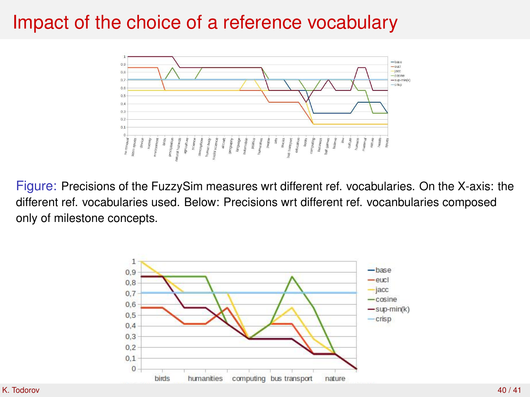### Impact of the choice of a reference vocabulary



Figure: Precisions of the FuzzySim measures wrt different ref. vocabularies. On the X-axis: the different ref. vocabularies used. Below: Precisions wrt different ref. vocanbularies composed only of milestone concepts.